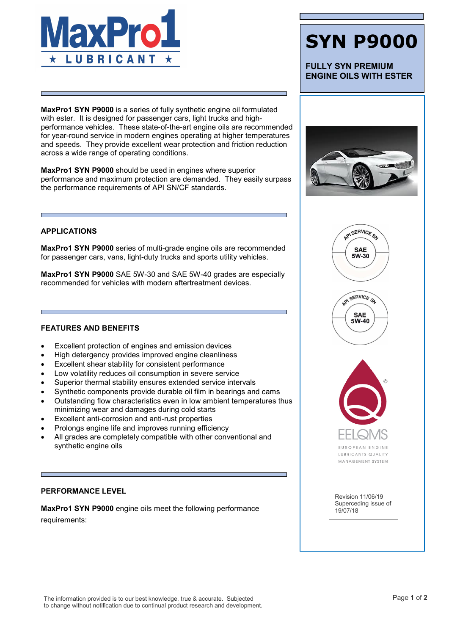

MaxPro1 SYN P9000 is a series of fully synthetic engine oil formulated with ester. It is designed for passenger cars, light trucks and highperformance vehicles. These state-of-the-art engine oils are recommended for year-round service in modern engines operating at higher temperatures and speeds. They provide excellent wear protection and friction reduction across a wide range of operating conditions.

MaxPro1 SYN P9000 should be used in engines where superior performance and maximum protection are demanded. They easily surpass the performance requirements of API SN/CF standards.

#### APPLICATIONS

MaxPro1 SYN P9000 series of multi-grade engine oils are recommended for passenger cars, vans, light-duty trucks and sports utility vehicles.

MaxPro1 SYN P9000 SAE 5W-30 and SAE 5W-40 grades are especially recommended for vehicles with modern aftertreatment devices.

### FEATURES AND BENEFITS

- Excellent protection of engines and emission devices
- High detergency provides improved engine cleanliness
- Excellent shear stability for consistent performance
- Low volatility reduces oil consumption in severe service
- Superior thermal stability ensures extended service intervals
- Synthetic components provide durable oil film in bearings and cams
- Outstanding flow characteristics even in low ambient temperatures thus minimizing wear and damages during cold starts
- Excellent anti-corrosion and anti-rust properties
- Prolongs engine life and improves running efficiency
- All grades are completely compatible with other conventional and synthetic engine oils

#### PERFORMANCE LEVEL

MaxPro1 SYN P9000 engine oils meet the following performance requirements:

## SYN P9000

FULLY SYN PREMIUM ENGINE OILS WITH ESTER



API SERVICE SA

**SAE** 5W-30





LUBRICANTS QUALITY MANAGEMENT SYSTEM

Revision 11/06/19 Superceding issue of 19/07/18